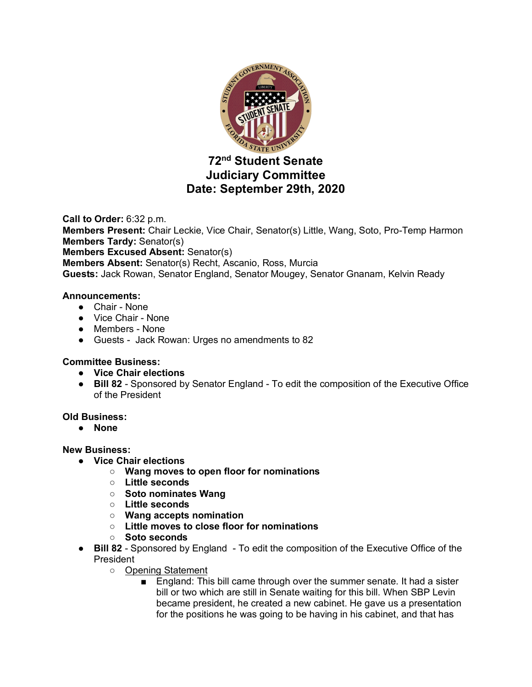

# **72nd Student Senate Judiciary Committee Date: September 29th, 2020**

**Call to Order:** 6:32 p.m. **Members Present:** Chair Leckie, Vice Chair, Senator(s) Little, Wang, Soto, Pro-Temp Harmon **Members Tardy:** Senator(s) **Members Excused Absent:** Senator(s) **Members Absent:** Senator(s) Recht, Ascanio, Ross, Murcia **Guests:** Jack Rowan, Senator England, Senator Mougey, Senator Gnanam, Kelvin Ready

## **Announcements:**

- Chair None
- Vice Chair None
- Members None
- Guests Jack Rowan: Urges no amendments to 82

## **Committee Business:**

- **Vice Chair elections**
- **Bill 82**  Sponsored by Senator England To edit the composition of the Executive Office of the President

## **Old Business:**

● **None**

## **New Business:**

- **Vice Chair elections**
	- **Wang moves to open floor for nominations**
	- **Little seconds**
	- **Soto nominates Wang**
	- **Little seconds**
	- **Wang accepts nomination**
	- **Little moves to close floor for nominations**
	- **Soto seconds**
- **Bill 82** Sponsored by England To edit the composition of the Executive Office of the **President** 
	- Opening Statement
		- England: This bill came through over the summer senate. It had a sister bill or two which are still in Senate waiting for this bill. When SBP Levin became president, he created a new cabinet. He gave us a presentation for the positions he was going to be having in his cabinet, and that has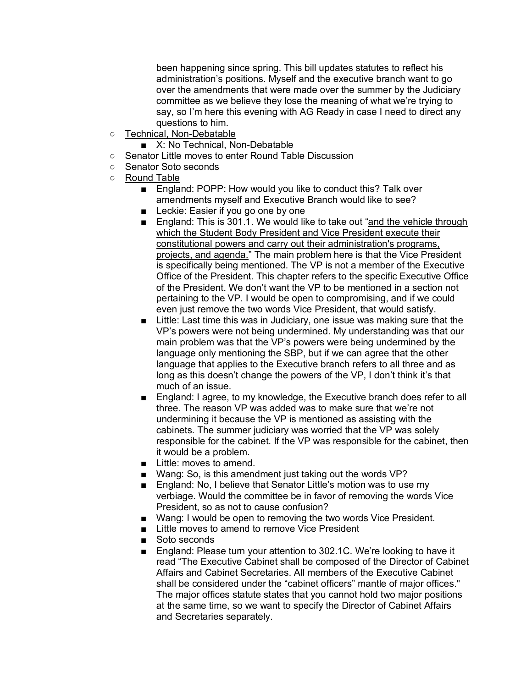been happening since spring. This bill updates statutes to reflect his administration's positions. Myself and the executive branch want to go over the amendments that were made over the summer by the Judiciary committee as we believe they lose the meaning of what we're trying to say, so I'm here this evening with AG Ready in case I need to direct any questions to him.

- Technical, Non-Debatable
	- X: No Technical, Non-Debatable
- Senator Little moves to enter Round Table Discussion
- Senator Soto seconds
- Round Table
	- England: POPP: How would you like to conduct this? Talk over amendments myself and Executive Branch would like to see?
	- Leckie: Easier if you go one by one
	- England: This is 301.1. We would like to take out "and the vehicle through which the Student Body President and Vice President execute their constitutional powers and carry out their administration's programs, projects, and agenda." The main problem here is that the Vice President is specifically being mentioned. The VP is not a member of the Executive Office of the President. This chapter refers to the specific Executive Office of the President. We don't want the VP to be mentioned in a section not pertaining to the VP. I would be open to compromising, and if we could even just remove the two words Vice President, that would satisfy.
	- Little: Last time this was in Judiciary, one issue was making sure that the VP's powers were not being undermined. My understanding was that our main problem was that the VP's powers were being undermined by the language only mentioning the SBP, but if we can agree that the other language that applies to the Executive branch refers to all three and as long as this doesn't change the powers of the VP, I don't think it's that much of an issue.
	- England: I agree, to my knowledge, the Executive branch does refer to all three. The reason VP was added was to make sure that we're not undermining it because the VP is mentioned as assisting with the cabinets. The summer judiciary was worried that the VP was solely responsible for the cabinet. If the VP was responsible for the cabinet, then it would be a problem.
	- Little: moves to amend.
	- Wang: So, is this amendment just taking out the words VP?
	- England: No, I believe that Senator Little's motion was to use my verbiage. Would the committee be in favor of removing the words Vice President, so as not to cause confusion?
	- Wang: I would be open to removing the two words Vice President.
	- Little moves to amend to remove Vice President
	- Soto seconds
	- England: Please turn your attention to 302.1C. We're looking to have it read "The Executive Cabinet shall be composed of the Director of Cabinet Affairs and Cabinet Secretaries. All members of the Executive Cabinet shall be considered under the "cabinet officers" mantle of major offices." The major offices statute states that you cannot hold two major positions at the same time, so we want to specify the Director of Cabinet Affairs and Secretaries separately.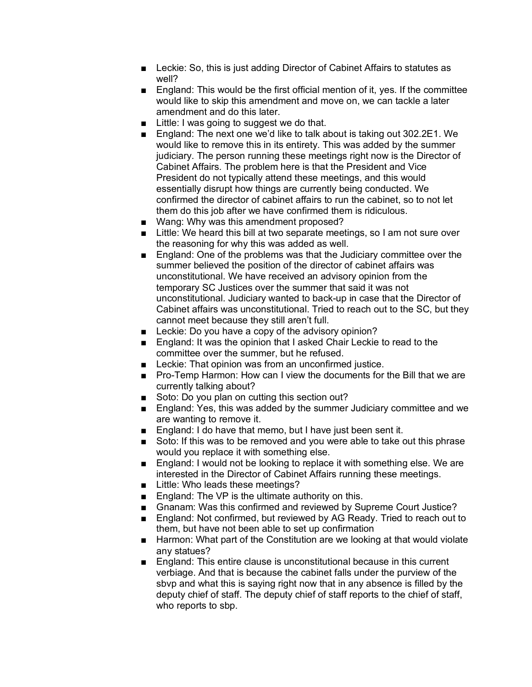- Leckie: So, this is just adding Director of Cabinet Affairs to statutes as well?
- England: This would be the first official mention of it, yes. If the committee would like to skip this amendment and move on, we can tackle a later amendment and do this later.
- Little: I was going to suggest we do that.
- England: The next one we'd like to talk about is taking out 302.2E1. We would like to remove this in its entirety. This was added by the summer judiciary. The person running these meetings right now is the Director of Cabinet Affairs. The problem here is that the President and Vice President do not typically attend these meetings, and this would essentially disrupt how things are currently being conducted. We confirmed the director of cabinet affairs to run the cabinet, so to not let them do this job after we have confirmed them is ridiculous.
- Wang: Why was this amendment proposed?
- Little: We heard this bill at two separate meetings, so I am not sure over the reasoning for why this was added as well.
- England: One of the problems was that the Judiciary committee over the summer believed the position of the director of cabinet affairs was unconstitutional. We have received an advisory opinion from the temporary SC Justices over the summer that said it was not unconstitutional. Judiciary wanted to back-up in case that the Director of Cabinet affairs was unconstitutional. Tried to reach out to the SC, but they cannot meet because they still aren't full.
- Leckie: Do you have a copy of the advisory opinion?
- England: It was the opinion that I asked Chair Leckie to read to the committee over the summer, but he refused.
- Leckie: That opinion was from an unconfirmed justice.
- Pro-Temp Harmon: How can I view the documents for the Bill that we are currently talking about?
- Soto: Do you plan on cutting this section out?
- England: Yes, this was added by the summer Judiciary committee and we are wanting to remove it.
- England: I do have that memo, but I have just been sent it.
- Soto: If this was to be removed and you were able to take out this phrase would you replace it with something else.
- England: I would not be looking to replace it with something else. We are interested in the Director of Cabinet Affairs running these meetings.
- Little: Who leads these meetings?
- England: The VP is the ultimate authority on this.
- Gnanam: Was this confirmed and reviewed by Supreme Court Justice?
- England: Not confirmed, but reviewed by AG Ready. Tried to reach out to them, but have not been able to set up confirmation
- Harmon: What part of the Constitution are we looking at that would violate any statues?
- England: This entire clause is unconstitutional because in this current verbiage. And that is because the cabinet falls under the purview of the sbvp and what this is saying right now that in any absence is filled by the deputy chief of staff. The deputy chief of staff reports to the chief of staff, who reports to sbp.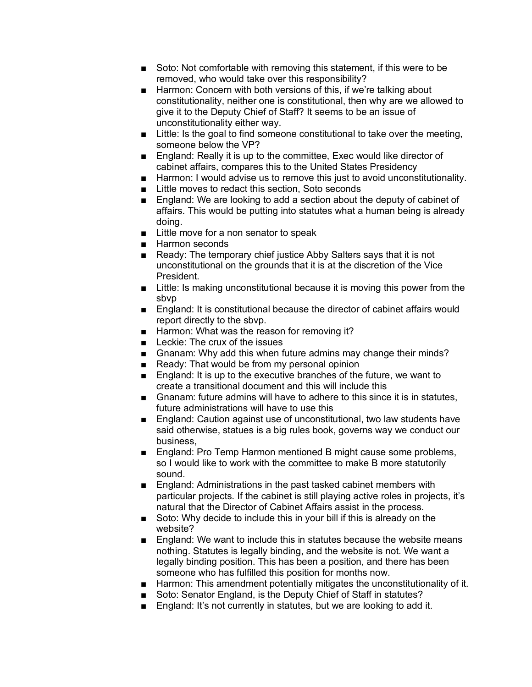- Soto: Not comfortable with removing this statement, if this were to be removed, who would take over this responsibility?
- Harmon: Concern with both versions of this, if we're talking about constitutionality, neither one is constitutional, then why are we allowed to give it to the Deputy Chief of Staff? It seems to be an issue of unconstitutionality either way.
- Little: Is the goal to find someone constitutional to take over the meeting, someone below the VP?
- England: Really it is up to the committee, Exec would like director of cabinet affairs, compares this to the United States Presidency
- Harmon: I would advise us to remove this just to avoid unconstitutionality.
- Little moves to redact this section, Soto seconds
- England: We are looking to add a section about the deputy of cabinet of affairs. This would be putting into statutes what a human being is already doing.
- Little move for a non senator to speak
- Harmon seconds
- Ready: The temporary chief justice Abby Salters says that it is not unconstitutional on the grounds that it is at the discretion of the Vice President.
- Little: Is making unconstitutional because it is moving this power from the sbvp
- England: It is constitutional because the director of cabinet affairs would report directly to the sbvp.
- Harmon: What was the reason for removing it?
- Leckie: The crux of the issues
- Gnanam: Why add this when future admins may change their minds?
- Ready: That would be from my personal opinion
- England: It is up to the executive branches of the future, we want to create a transitional document and this will include this
- Gnanam: future admins will have to adhere to this since it is in statutes, future administrations will have to use this
- England: Caution against use of unconstitutional, two law students have said otherwise, statues is a big rules book, governs way we conduct our business,
- England: Pro Temp Harmon mentioned B might cause some problems, so I would like to work with the committee to make B more statutorily sound.
- England: Administrations in the past tasked cabinet members with particular projects. If the cabinet is still playing active roles in projects, it's natural that the Director of Cabinet Affairs assist in the process.
- Soto: Why decide to include this in your bill if this is already on the website?
- England: We want to include this in statutes because the website means nothing. Statutes is legally binding, and the website is not. We want a legally binding position. This has been a position, and there has been someone who has fulfilled this position for months now.
- Harmon: This amendment potentially mitigates the unconstitutionality of it.
- Soto: Senator England, is the Deputy Chief of Staff in statutes?
- England: It's not currently in statutes, but we are looking to add it.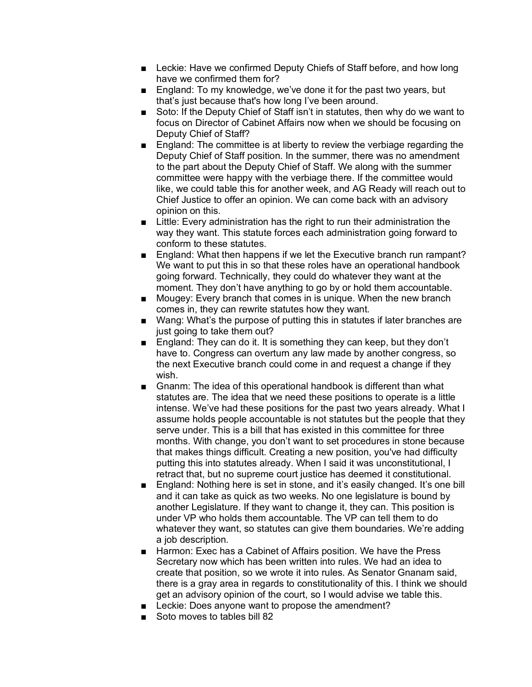- Leckie: Have we confirmed Deputy Chiefs of Staff before, and how long have we confirmed them for?
- England: To my knowledge, we've done it for the past two years, but that's just because that's how long I've been around.
- Soto: If the Deputy Chief of Staff isn't in statutes, then why do we want to focus on Director of Cabinet Affairs now when we should be focusing on Deputy Chief of Staff?
- England: The committee is at liberty to review the verbiage regarding the Deputy Chief of Staff position. In the summer, there was no amendment to the part about the Deputy Chief of Staff. We along with the summer committee were happy with the verbiage there. If the committee would like, we could table this for another week, and AG Ready will reach out to Chief Justice to offer an opinion. We can come back with an advisory opinion on this.
- Little: Every administration has the right to run their administration the way they want. This statute forces each administration going forward to conform to these statutes.
- England: What then happens if we let the Executive branch run rampant? We want to put this in so that these roles have an operational handbook going forward. Technically, they could do whatever they want at the moment. They don't have anything to go by or hold them accountable.
- Mougey: Every branch that comes in is unique. When the new branch comes in, they can rewrite statutes how they want.
- Wang: What's the purpose of putting this in statutes if later branches are just going to take them out?
- England: They can do it. It is something they can keep, but they don't have to. Congress can overturn any law made by another congress, so the next Executive branch could come in and request a change if they wish.
- Gnanm: The idea of this operational handbook is different than what statutes are. The idea that we need these positions to operate is a little intense. We've had these positions for the past two years already. What I assume holds people accountable is not statutes but the people that they serve under. This is a bill that has existed in this committee for three months. With change, you don't want to set procedures in stone because that makes things difficult. Creating a new position, you've had difficulty putting this into statutes already. When I said it was unconstitutional, I retract that, but no supreme court justice has deemed it constitutional.
- England: Nothing here is set in stone, and it's easily changed. It's one bill and it can take as quick as two weeks. No one legislature is bound by another Legislature. If they want to change it, they can. This position is under VP who holds them accountable. The VP can tell them to do whatever they want, so statutes can give them boundaries. We're adding a job description.
- Harmon: Exec has a Cabinet of Affairs position. We have the Press Secretary now which has been written into rules. We had an idea to create that position, so we wrote it into rules. As Senator Gnanam said, there is a gray area in regards to constitutionality of this. I think we should get an advisory opinion of the court, so I would advise we table this.
- Leckie: Does anyone want to propose the amendment?
- Soto moves to tables bill 82